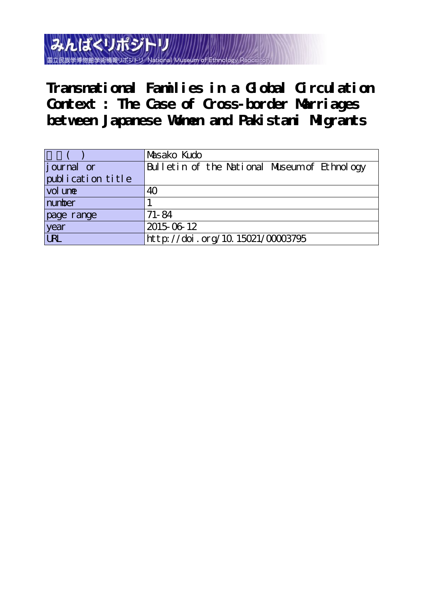みんぱくリポジト 流蛍学術情報リポジトリ

**Transnational Families in a Global Circulation Context : The Case of Cross-border Marriages between Japanese Women and Pakistani Migrants**

|                   | Masako Kudo                                  |
|-------------------|----------------------------------------------|
| journal or        | Bulletin of the National Museum of Ethnology |
| publication title |                                              |
| vol une           | 40                                           |
| number            |                                              |
| page range        | $71 - 84$                                    |
| year<br>URL       | 2015-06-12                                   |
|                   | http://doi.org/10.15021/00003795             |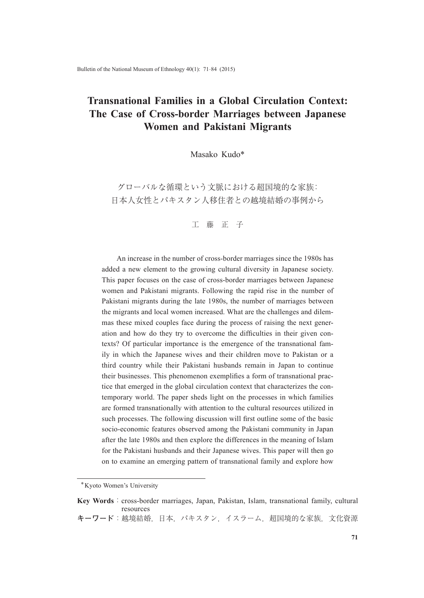# **Transnational Families in a Global Circulation Context: The Case of Cross-border Marriages between Japanese Women and Pakistani Migrants**

Masako Kudo\*

グローバルな循環という文脈における超国境的な家族: 日本人女性とパキスタン人移住者との越境結婚の事例から

工 藤 正 子

An increase in the number of cross-border marriages since the 1980s has added a new element to the growing cultural diversity in Japanese society. This paper focuses on the case of cross-border marriages between Japanese women and Pakistani migrants. Following the rapid rise in the number of Pakistani migrants during the late 1980s, the number of marriages between the migrants and local women increased. What are the challenges and dilemmas these mixed couples face during the process of raising the next generation and how do they try to overcome the difficulties in their given contexts? Of particular importance is the emergence of the transnational family in which the Japanese wives and their children move to Pakistan or a third country while their Pakistani husbands remain in Japan to continue their businesses. This phenomenon exemplifies a form of transnational practice that emerged in the global circulation context that characterizes the contemporary world. The paper sheds light on the processes in which families are formed transnationally with attention to the cultural resources utilized in such processes. The following discussion will first outline some of the basic socio-economic features observed among the Pakistani community in Japan after the late 1980s and then explore the differences in the meaning of Islam for the Pakistani husbands and their Japanese wives. This paper will then go on to examine an emerging pattern of transnational family and explore how

<sup>\*</sup>Kyoto Women's University

**Key Words**: cross-border marriages, Japan, Pakistan, Islam, transnational family, cultural resources **キーワード**:越境結婚,日本,パキスタン,イスラーム,超国境的な家族,文化資源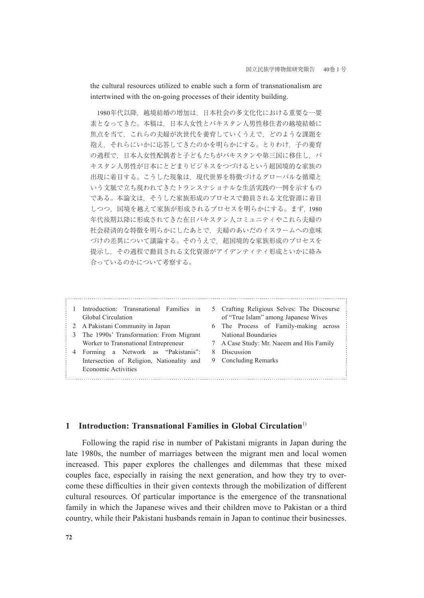the cultural resources utilized to enable such a form of transnationalism are intertwined with the on-going processes of their identity building.

1980年代以降,越境結婚の増加は、日本社会の多文化化における重要な一要 素となってきた。本稿は,日本人女性とパキスタン人男性移住者の越境結婚に 焦点を当て、これらの夫婦が次世代を養育していくうえで、どのような課題を 抱え,それらにいかに応答してきたのかを明らかにする。とりわけ,子の養育 の過程で、日本人女性配偶者と子どもたちがパキスタンや第三国に移住し、パ キスタン人男性が日本にとどまりビジネスをつづけるという超国境的な家族の 出現に着目する。こうした現象は、現代世界を特徴づけるグローバルな循環と いう文脈で立ち現われてきたトランスナショナルな生活実践の一例を示すもの である。本論文は,そうした家族形成のプロセスで動員される文化資源に着目 しつつ,国境を越えて家族が形成されるプロセスを明らかにする。まず,1980 年代後期以降に形成されてきた在日パキスタン人コミュニティやこれら夫婦の 社会経済的な特徴を明らかにしたあとで,夫婦のあいだのイスラームへの意味 づけの差異について議論する。そのうえで,超国境的な家族形成のプロセスを 提示し,その過程で動員される文化資源がアイデンティティ形成といかに絡み 合っているのかについて考察する。

1 Introduction: Transnational Families in Global Circulation 2 A Pakistani Community in Japan 3 The 1990s' Transformation: From Migrant Worker to Transnational Entrepreneur 4 Forming a Network as "Pakistanis": Intersection of Religion, Nationality and Economic Activities 5 Crafting Religious Selves: The Discourse of "True Islam" among Japanese Wives 6 The Process of Family-making across National Boundaries 7 A Case Study: Mr. Naeem and His Family 8 Discussion 9 Concluding Remarks

### **1 Introduction: Transnational Families in Global Circulation**<sup>1)</sup>

Following the rapid rise in number of Pakistani migrants in Japan during the late 1980s, the number of marriages between the migrant men and local women increased. This paper explores the challenges and dilemmas that these mixed couples face, especially in raising the next generation, and how they try to overcome these difficulties in their given contexts through the mobilization of different cultural resources. Of particular importance is the emergence of the transnational family in which the Japanese wives and their children move to Pakistan or a third country, while their Pakistani husbands remain in Japan to continue their businesses.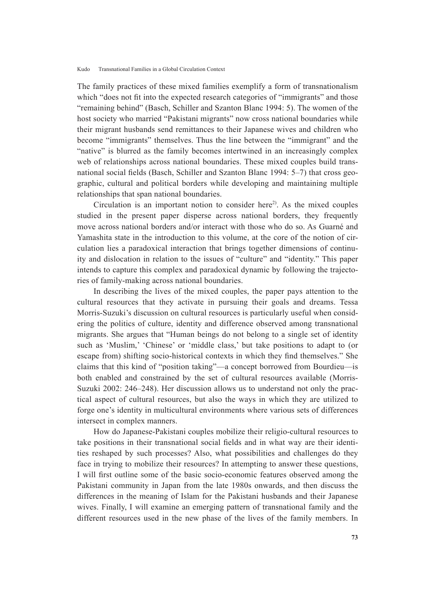The family practices of these mixed families exemplify a form of transnationalism which "does not fit into the expected research categories of "immigrants" and those "remaining behind" (Basch, Schiller and Szanton Blanc 1994: 5). The women of the host society who married "Pakistani migrants" now cross national boundaries while their migrant husbands send remittances to their Japanese wives and children who become "immigrants" themselves. Thus the line between the "immigrant" and the "native" is blurred as the family becomes intertwined in an increasingly complex web of relationships across national boundaries. These mixed couples build transnational social fields (Basch, Schiller and Szanton Blanc 1994: 5–7) that cross geographic, cultural and political borders while developing and maintaining multiple relationships that span national boundaries.

Circulation is an important notion to consider here<sup>2)</sup>. As the mixed couples studied in the present paper disperse across national borders, they frequently move across national borders and/or interact with those who do so. As Guarné and Yamashita state in the introduction to this volume, at the core of the notion of circulation lies a paradoxical interaction that brings together dimensions of continuity and dislocation in relation to the issues of "culture" and "identity." This paper intends to capture this complex and paradoxical dynamic by following the trajectories of family-making across national boundaries.

In describing the lives of the mixed couples, the paper pays attention to the cultural resources that they activate in pursuing their goals and dreams. Tessa Morris-Suzuki's discussion on cultural resources is particularly useful when considering the politics of culture, identity and difference observed among transnational migrants. She argues that "Human beings do not belong to a single set of identity such as 'Muslim,' 'Chinese' or 'middle class,' but take positions to adapt to (or escape from) shifting socio-historical contexts in which they find themselves." She claims that this kind of "position taking"—a concept borrowed from Bourdieu—is both enabled and constrained by the set of cultural resources available (Morris-Suzuki 2002: 246–248). Her discussion allows us to understand not only the practical aspect of cultural resources, but also the ways in which they are utilized to forge one's identity in multicultural environments where various sets of differences intersect in complex manners.

How do Japanese-Pakistani couples mobilize their religio-cultural resources to take positions in their transnational social fields and in what way are their identities reshaped by such processes? Also, what possibilities and challenges do they face in trying to mobilize their resources? In attempting to answer these questions, I will first outline some of the basic socio-economic features observed among the Pakistani community in Japan from the late 1980s onwards, and then discuss the differences in the meaning of Islam for the Pakistani husbands and their Japanese wives. Finally, I will examine an emerging pattern of transnational family and the different resources used in the new phase of the lives of the family members. In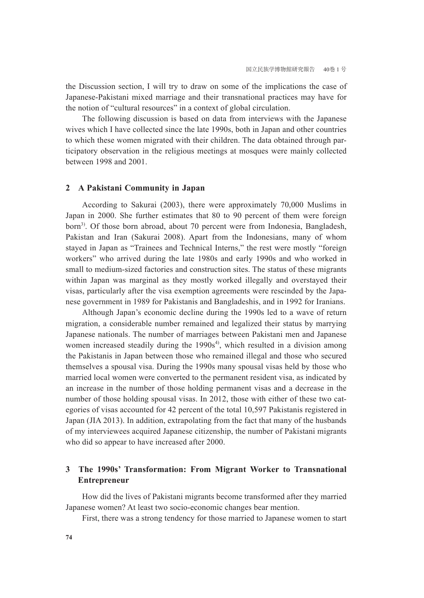the Discussion section, I will try to draw on some of the implications the case of Japanese-Pakistani mixed marriage and their transnational practices may have for the notion of "cultural resources" in a context of global circulation.

The following discussion is based on data from interviews with the Japanese wives which I have collected since the late 1990s, both in Japan and other countries to which these women migrated with their children. The data obtained through participatory observation in the religious meetings at mosques were mainly collected between 1998 and 2001.

### **2 A Pakistani Community in Japan**

According to Sakurai (2003), there were approximately 70,000 Muslims in Japan in 2000. She further estimates that 80 to 90 percent of them were foreign born<sup>3)</sup>. Of those born abroad, about 70 percent were from Indonesia, Bangladesh, Pakistan and Iran (Sakurai 2008). Apart from the Indonesians, many of whom stayed in Japan as "Trainees and Technical Interns," the rest were mostly "foreign workers" who arrived during the late 1980s and early 1990s and who worked in small to medium-sized factories and construction sites. The status of these migrants within Japan was marginal as they mostly worked illegally and overstayed their visas, particularly after the visa exemption agreements were rescinded by the Japanese government in 1989 for Pakistanis and Bangladeshis, and in 1992 for Iranians.

Although Japan's economic decline during the 1990s led to a wave of return migration, a considerable number remained and legalized their status by marrying Japanese nationals. The number of marriages between Pakistani men and Japanese women increased steadily during the  $1990s<sup>4</sup>$ , which resulted in a division among the Pakistanis in Japan between those who remained illegal and those who secured themselves a spousal visa. During the 1990s many spousal visas held by those who married local women were converted to the permanent resident visa, as indicated by an increase in the number of those holding permanent visas and a decrease in the number of those holding spousal visas. In 2012, those with either of these two categories of visas accounted for 42 percent of the total 10,597 Pakistanis registered in Japan (JIA 2013). In addition, extrapolating from the fact that many of the husbands of my interviewees acquired Japanese citizenship, the number of Pakistani migrants who did so appear to have increased after 2000.

# **3 The 1990s' Transformation: From Migrant Worker to Transnational Entrepreneur**

How did the lives of Pakistani migrants become transformed after they married Japanese women? At least two socio-economic changes bear mention.

First, there was a strong tendency for those married to Japanese women to start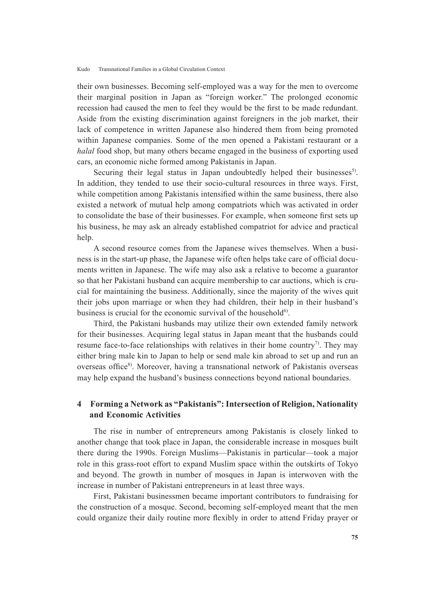their own businesses. Becoming self-employed was a way for the men to overcome their marginal position in Japan as "foreign worker." The prolonged economic recession had caused the men to feel they would be the first to be made redundant. Aside from the existing discrimination against foreigners in the job market, their lack of competence in written Japanese also hindered them from being promoted within Japanese companies. Some of the men opened a Pakistani restaurant or a *halal* food shop, but many others became engaged in the business of exporting used cars, an economic niche formed among Pakistanis in Japan.

Securing their legal status in Japan undoubtedly helped their businesses<sup>5)</sup>. In addition, they tended to use their socio-cultural resources in three ways. First, while competition among Pakistanis intensified within the same business, there also existed a network of mutual help among compatriots which was activated in order to consolidate the base of their businesses. For example, when someone first sets up his business, he may ask an already established compatriot for advice and practical help.

A second resource comes from the Japanese wives themselves. When a business is in the start-up phase, the Japanese wife often helps take care of official documents written in Japanese. The wife may also ask a relative to become a guarantor so that her Pakistani husband can acquire membership to car auctions, which is crucial for maintaining the business. Additionally, since the majority of the wives quit their jobs upon marriage or when they had children, their help in their husband's business is crucial for the economic survival of the household<sup>6</sup>.

Third, the Pakistani husbands may utilize their own extended family network for their businesses. Acquiring legal status in Japan meant that the husbands could resume face-to-face relationships with relatives in their home country<sup>7)</sup>. They may either bring male kin to Japan to help or send male kin abroad to set up and run an overseas office<sup>8)</sup>. Moreover, having a transnational network of Pakistanis overseas may help expand the husband's business connections beyond national boundaries.

## **4 Forming a Network as "Pakistanis": Intersection of Religion, Nationality and Economic Activities**

The rise in number of entrepreneurs among Pakistanis is closely linked to another change that took place in Japan, the considerable increase in mosques built there during the 1990s. Foreign Muslims—Pakistanis in particular—took a major role in this grass-root effort to expand Muslim space within the outskirts of Tokyo and beyond. The growth in number of mosques in Japan is interwoven with the increase in number of Pakistani entrepreneurs in at least three ways.

First, Pakistani businessmen became important contributors to fundraising for the construction of a mosque. Second, becoming self-employed meant that the men could organize their daily routine more flexibly in order to attend Friday prayer or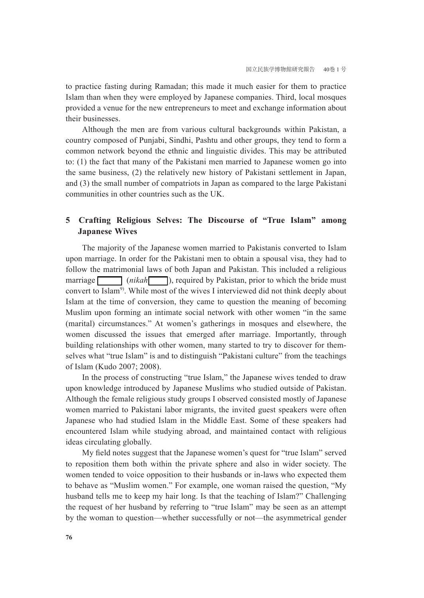to practice fasting during Ramadan; this made it much easier for them to practice Islam than when they were employed by Japanese companies. Third, local mosques provided a venue for the new entrepreneurs to meet and exchange information about their businesses.

Although the men are from various cultural backgrounds within Pakistan, a country composed of Punjabi, Sindhi, Pashtu and other groups, they tend to form a common network beyond the ethnic and linguistic divides. This may be attributed to: (1) the fact that many of the Pakistani men married to Japanese women go into the same business, (2) the relatively new history of Pakistani settlement in Japan, and (3) the small number of compatriots in Japan as compared to the large Pakistani communities in other countries such as the UK.

# **5 Crafting Religious Selves: The Discourse of "True Islam" among Japanese Wives**

The majority of the Japanese women married to Pakistanis converted to Islam upon marriage. In order for the Pakistani men to obtain a spousal visa, they had to follow the matrimonial laws of both Japan and Pakistan. This included a religious marriage (*nikah* ), required by Pakistan, prior to which the bride must convert to Islam9). While most of the wives I interviewed did not think deeply about Islam at the time of conversion, they came to question the meaning of becoming Muslim upon forming an intimate social network with other women "in the same (marital) circumstances." At women's gatherings in mosques and elsewhere, the women discussed the issues that emerged after marriage. Importantly, through building relationships with other women, many started to try to discover for themselves what "true Islam" is and to distinguish "Pakistani culture" from the teachings of Islam (Kudo 2007; 2008).

In the process of constructing "true Islam," the Japanese wives tended to draw upon knowledge introduced by Japanese Muslims who studied outside of Pakistan. Although the female religious study groups I observed consisted mostly of Japanese women married to Pakistani labor migrants, the invited guest speakers were often Japanese who had studied Islam in the Middle East. Some of these speakers had encountered Islam while studying abroad, and maintained contact with religious ideas circulating globally.

My field notes suggest that the Japanese women's quest for "true Islam" served to reposition them both within the private sphere and also in wider society. The women tended to voice opposition to their husbands or in-laws who expected them to behave as "Muslim women." For example, one woman raised the question, "My husband tells me to keep my hair long. Is that the teaching of Islam?" Challenging the request of her husband by referring to "true Islam" may be seen as an attempt by the woman to question—whether successfully or not—the asymmetrical gender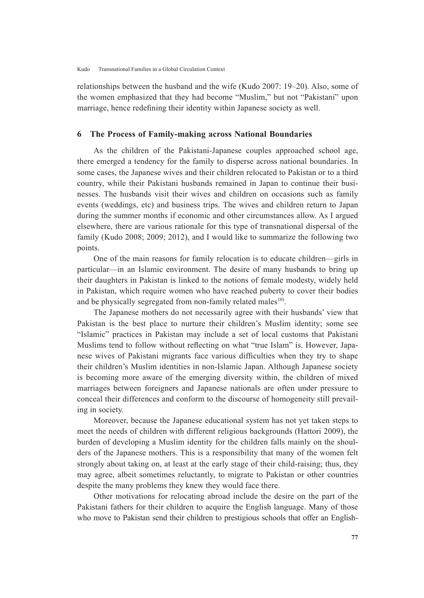relationships between the husband and the wife (Kudo 2007: 19–20). Also, some of the women emphasized that they had become "Muslim," but not "Pakistani" upon marriage, hence redefining their identity within Japanese society as well.

### **6 The Process of Family-making across National Boundaries**

As the children of the Pakistani-Japanese couples approached school age, there emerged a tendency for the family to disperse across national boundaries. In some cases, the Japanese wives and their children relocated to Pakistan or to a third country, while their Pakistani husbands remained in Japan to continue their businesses. The husbands visit their wives and children on occasions such as family events (weddings, etc) and business trips. The wives and children return to Japan during the summer months if economic and other circumstances allow. As I argued elsewhere, there are various rationale for this type of transnational dispersal of the family (Kudo 2008; 2009; 2012), and I would like to summarize the following two points.

One of the main reasons for family relocation is to educate children—girls in particular—in an Islamic environment. The desire of many husbands to bring up their daughters in Pakistan is linked to the notions of female modesty, widely held in Pakistan, which require women who have reached puberty to cover their bodies and be physically segregated from non-family related males<sup>10</sup>.

The Japanese mothers do not necessarily agree with their husbands' view that Pakistan is the best place to nurture their children's Muslim identity; some see "Islamic" practices in Pakistan may include a set of local customs that Pakistani Muslims tend to follow without reflecting on what "true Islam" is. However, Japanese wives of Pakistani migrants face various difficulties when they try to shape their children's Muslim identities in non-Islamic Japan. Although Japanese society is becoming more aware of the emerging diversity within, the children of mixed marriages between foreigners and Japanese nationals are often under pressure to conceal their differences and conform to the discourse of homogeneity still prevailing in society.

Moreover, because the Japanese educational system has not yet taken steps to meet the needs of children with different religious backgrounds (Hattori 2009), the burden of developing a Muslim identity for the children falls mainly on the shoulders of the Japanese mothers. This is a responsibility that many of the women felt strongly about taking on, at least at the early stage of their child-raising; thus, they may agree, albeit sometimes reluctantly, to migrate to Pakistan or other countries despite the many problems they knew they would face there.

Other motivations for relocating abroad include the desire on the part of the Pakistani fathers for their children to acquire the English language. Many of those who move to Pakistan send their children to prestigious schools that offer an English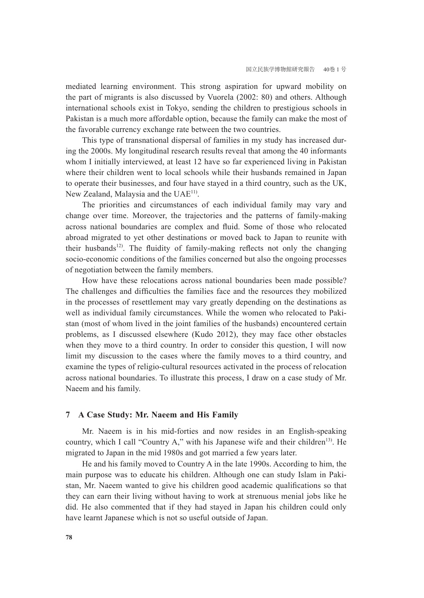mediated learning environment. This strong aspiration for upward mobility on the part of migrants is also discussed by Vuorela (2002: 80) and others. Although international schools exist in Tokyo, sending the children to prestigious schools in Pakistan is a much more affordable option, because the family can make the most of the favorable currency exchange rate between the two countries.

This type of transnational dispersal of families in my study has increased during the 2000s. My longitudinal research results reveal that among the 40 informants whom I initially interviewed, at least 12 have so far experienced living in Pakistan where their children went to local schools while their husbands remained in Japan to operate their businesses, and four have stayed in a third country, such as the UK, New Zealand, Malaysia and the UAE<sup>11)</sup>.

The priorities and circumstances of each individual family may vary and change over time. Moreover, the trajectories and the patterns of family-making across national boundaries are complex and fluid. Some of those who relocated abroad migrated to yet other destinations or moved back to Japan to reunite with their husbands<sup>12)</sup>. The fluidity of family-making reflects not only the changing socio-economic conditions of the families concerned but also the ongoing processes of negotiation between the family members.

How have these relocations across national boundaries been made possible? The challenges and difficulties the families face and the resources they mobilized in the processes of resettlement may vary greatly depending on the destinations as well as individual family circumstances. While the women who relocated to Pakistan (most of whom lived in the joint families of the husbands) encountered certain problems, as I discussed elsewhere (Kudo 2012), they may face other obstacles when they move to a third country. In order to consider this question, I will now limit my discussion to the cases where the family moves to a third country, and examine the types of religio-cultural resources activated in the process of relocation across national boundaries. To illustrate this process, I draw on a case study of Mr. Naeem and his family.

### **7 A Case Study: Mr. Naeem and His Family**

Mr. Naeem is in his mid-forties and now resides in an English-speaking country, which I call "Country A," with his Japanese wife and their children<sup>13)</sup>. He migrated to Japan in the mid 1980s and got married a few years later.

He and his family moved to Country A in the late 1990s. According to him, the main purpose was to educate his children. Although one can study Islam in Pakistan, Mr. Naeem wanted to give his children good academic qualifications so that they can earn their living without having to work at strenuous menial jobs like he did. He also commented that if they had stayed in Japan his children could only have learnt Japanese which is not so useful outside of Japan.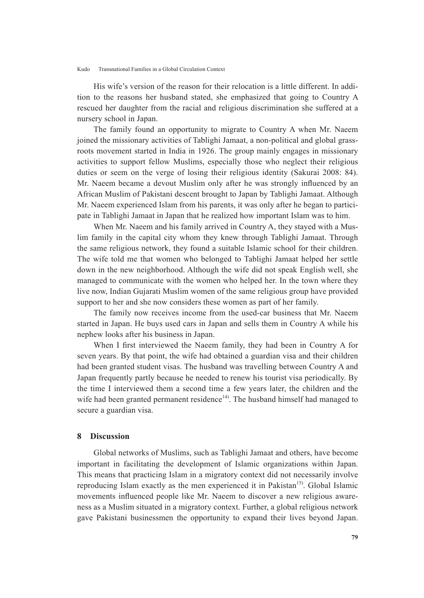His wife's version of the reason for their relocation is a little different. In addition to the reasons her husband stated, she emphasized that going to Country A rescued her daughter from the racial and religious discrimination she suffered at a nursery school in Japan.

The family found an opportunity to migrate to Country A when Mr. Naeem joined the missionary activities of Tablighi Jamaat, a non-political and global grassroots movement started in India in 1926. The group mainly engages in missionary activities to support fellow Muslims, especially those who neglect their religious duties or seem on the verge of losing their religious identity (Sakurai 2008: 84). Mr. Naeem became a devout Muslim only after he was strongly influenced by an African Muslim of Pakistani descent brought to Japan by Tablighi Jamaat. Although Mr. Naeem experienced Islam from his parents, it was only after he began to participate in Tablighi Jamaat in Japan that he realized how important Islam was to him.

When Mr. Naeem and his family arrived in Country A, they stayed with a Muslim family in the capital city whom they knew through Tablighi Jamaat. Through the same religious network, they found a suitable Islamic school for their children. The wife told me that women who belonged to Tablighi Jamaat helped her settle down in the new neighborhood. Although the wife did not speak English well, she managed to communicate with the women who helped her. In the town where they live now, Indian Gujarati Muslim women of the same religious group have provided support to her and she now considers these women as part of her family.

The family now receives income from the used-car business that Mr. Naeem started in Japan. He buys used cars in Japan and sells them in Country A while his nephew looks after his business in Japan.

When I first interviewed the Naeem family, they had been in Country A for seven years. By that point, the wife had obtained a guardian visa and their children had been granted student visas. The husband was travelling between Country A and Japan frequently partly because he needed to renew his tourist visa periodically. By the time I interviewed them a second time a few years later, the children and the wife had been granted permanent residence<sup>14)</sup>. The husband himself had managed to secure a guardian visa.

### **8 Discussion**

Global networks of Muslims, such as Tablighi Jamaat and others, have become important in facilitating the development of Islamic organizations within Japan. This means that practicing Islam in a migratory context did not necessarily involve reproducing Islam exactly as the men experienced it in Pakistan<sup>15)</sup>. Global Islamic movements influenced people like Mr. Naeem to discover a new religious awareness as a Muslim situated in a migratory context. Further, a global religious network gave Pakistani businessmen the opportunity to expand their lives beyond Japan.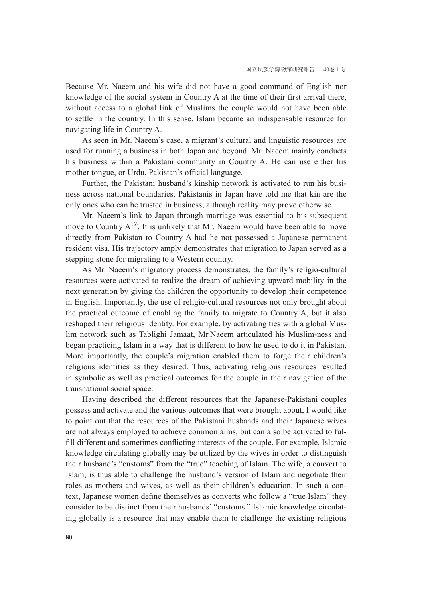Because Mr. Naeem and his wife did not have a good command of English nor knowledge of the social system in Country A at the time of their first arrival there, without access to a global link of Muslims the couple would not have been able to settle in the country. In this sense, Islam became an indispensable resource for navigating life in Country A.

As seen in Mr. Naeem's case, a migrant's cultural and linguistic resources are used for running a business in both Japan and beyond. Mr. Naeem mainly conducts his business within a Pakistani community in Country A. He can use either his mother tongue, or Urdu, Pakistan's official language.

Further, the Pakistani husband's kinship network is activated to run his business across national boundaries. Pakistanis in Japan have told me that kin are the only ones who can be trusted in business, although reality may prove otherwise.

Mr. Naeem's link to Japan through marriage was essential to his subsequent move to Country  $A^{16}$ . It is unlikely that Mr. Naeem would have been able to move directly from Pakistan to Country A had he not possessed a Japanese permanent resident visa. His trajectory amply demonstrates that migration to Japan served as a stepping stone for migrating to a Western country.

As Mr. Naeem's migratory process demonstrates, the family's religio-cultural resources were activated to realize the dream of achieving upward mobility in the next generation by giving the children the opportunity to develop their competence in English. Importantly, the use of religio-cultural resources not only brought about the practical outcome of enabling the family to migrate to Country A, but it also reshaped their religious identity. For example, by activating ties with a global Muslim network such as Tablighi Jamaat, Mr.Naeem articulated his Muslim-ness and began practicing Islam in a way that is different to how he used to do it in Pakistan. More importantly, the couple's migration enabled them to forge their children's religious identities as they desired. Thus, activating religious resources resulted in symbolic as well as practical outcomes for the couple in their navigation of the transnational social space.

Having described the different resources that the Japanese-Pakistani couples possess and activate and the various outcomes that were brought about, I would like to point out that the resources of the Pakistani husbands and their Japanese wives are not always employed to achieve common aims, but can also be activated to fulfill different and sometimes conflicting interests of the couple. For example, Islamic knowledge circulating globally may be utilized by the wives in order to distinguish their husband's "customs" from the "true" teaching of Islam. The wife, a convert to Islam, is thus able to challenge the husband's version of Islam and negotiate their roles as mothers and wives, as well as their children's education. In such a context, Japanese women define themselves as converts who follow a "true Islam" they consider to be distinct from their husbands' "customs." Islamic knowledge circulating globally is a resource that may enable them to challenge the existing religious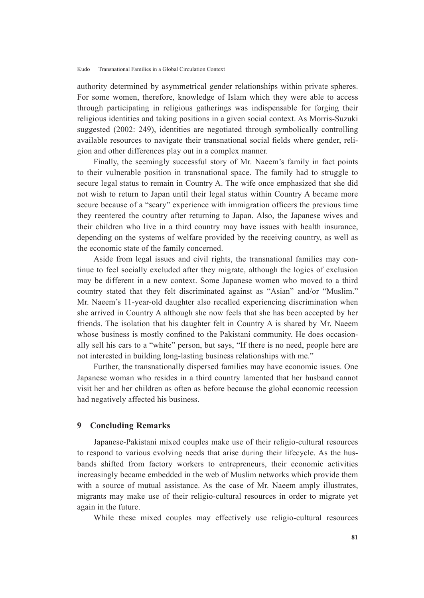authority determined by asymmetrical gender relationships within private spheres. For some women, therefore, knowledge of Islam which they were able to access through participating in religious gatherings was indispensable for forging their religious identities and taking positions in a given social context. As Morris-Suzuki suggested (2002: 249), identities are negotiated through symbolically controlling available resources to navigate their transnational social fields where gender, religion and other differences play out in a complex manner.

Finally, the seemingly successful story of Mr. Naeem's family in fact points to their vulnerable position in transnational space. The family had to struggle to secure legal status to remain in Country A. The wife once emphasized that she did not wish to return to Japan until their legal status within Country A became more secure because of a "scary" experience with immigration officers the previous time they reentered the country after returning to Japan. Also, the Japanese wives and their children who live in a third country may have issues with health insurance, depending on the systems of welfare provided by the receiving country, as well as the economic state of the family concerned.

Aside from legal issues and civil rights, the transnational families may continue to feel socially excluded after they migrate, although the logics of exclusion may be different in a new context. Some Japanese women who moved to a third country stated that they felt discriminated against as "Asian" and/or "Muslim." Mr. Naeem's 11-year-old daughter also recalled experiencing discrimination when she arrived in Country A although she now feels that she has been accepted by her friends. The isolation that his daughter felt in Country A is shared by Mr. Naeem whose business is mostly confined to the Pakistani community. He does occasionally sell his cars to a "white" person, but says, "If there is no need, people here are not interested in building long-lasting business relationships with me."

Further, the transnationally dispersed families may have economic issues. One Japanese woman who resides in a third country lamented that her husband cannot visit her and her children as often as before because the global economic recession had negatively affected his business.

### **9 Concluding Remarks**

Japanese-Pakistani mixed couples make use of their religio-cultural resources to respond to various evolving needs that arise during their lifecycle. As the husbands shifted from factory workers to entrepreneurs, their economic activities increasingly became embedded in the web of Muslim networks which provide them with a source of mutual assistance. As the case of Mr. Naeem amply illustrates, migrants may make use of their religio-cultural resources in order to migrate yet again in the future.

While these mixed couples may effectively use religio-cultural resources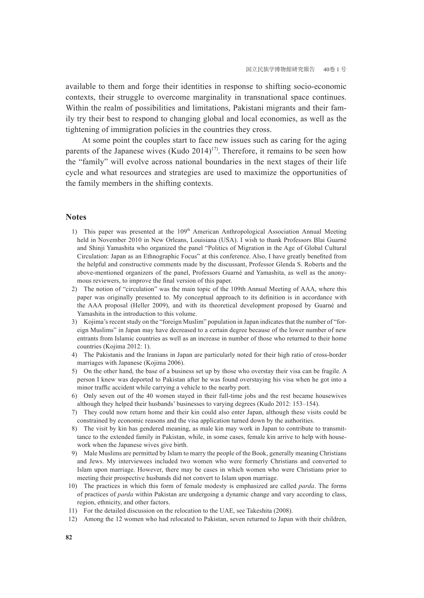available to them and forge their identities in response to shifting socio-economic contexts, their struggle to overcome marginality in transnational space continues. Within the realm of possibilities and limitations, Pakistani migrants and their family try their best to respond to changing global and local economies, as well as the tightening of immigration policies in the countries they cross.

At some point the couples start to face new issues such as caring for the aging parents of the Japanese wives (Kudo  $2014$ )<sup>17)</sup>. Therefore, it remains to be seen how the "family" will evolve across national boundaries in the next stages of their life cycle and what resources and strategies are used to maximize the opportunities of the family members in the shifting contexts.

### **Notes**

- 1) This paper was presented at the 109<sup>th</sup> American Anthropological Association Annual Meeting held in November 2010 in New Orleans, Louisiana (USA). I wish to thank Professors Blai Guarné and Shinji Yamashita who organized the panel "Politics of Migration in the Age of Global Cultural Circulation: Japan as an Ethnographic Focus" at this conference. Also, I have greatly benefited from the helpful and constructive comments made by the discussant, Professor Glenda S. Roberts and the above-mentioned organizers of the panel, Professors Guarné and Yamashita, as well as the anonymous reviewers, to improve the final version of this paper.
- 2) The notion of "circulation" was the main topic of the 109th Annual Meeting of AAA, where this paper was originally presented to. My conceptual approach to its definition is in accordance with the AAA proposal (Heller 2009), and with its theoretical development proposed by Guarné and Yamashita in the introduction to this volume.
- 3) Kojima's recent study on the "foreign Muslim" population in Japan indicates that the number of "foreign Muslims" in Japan may have decreased to a certain degree because of the lower number of new entrants from Islamic countries as well as an increase in number of those who returned to their home countries (Kojima 2012: 1).
- 4) The Pakistanis and the Iranians in Japan are particularly noted for their high ratio of cross-border marriages with Japanese (Kojima 2006).
- 5) On the other hand, the base of a business set up by those who overstay their visa can be fragile. A person I knew was deported to Pakistan after he was found overstaying his visa when he got into a minor traffic accident while carrying a vehicle to the nearby port.
- 6) Only seven out of the 40 women stayed in their full-time jobs and the rest became housewives although they helped their husbands' businesses to varying degrees (Kudo 2012: 153–154).
- 7) They could now return home and their kin could also enter Japan, although these visits could be constrained by economic reasons and the visa application turned down by the authorities.
- 8) The visit by kin has gendered meaning, as male kin may work in Japan to contribute to transmittance to the extended family in Pakistan, while, in some cases, female kin arrive to help with housework when the Japanese wives give birth.
- 9) Male Muslims are permitted by Islam to marry the people of the Book, generally meaning Christians and Jews. My interviewees included two women who were formerly Christians and converted to Islam upon marriage. However, there may be cases in which women who were Christians prior to meeting their prospective husbands did not convert to Islam upon marriage.
- 10) The practices in which this form of female modesty is emphasized are called *parda*. The forms of practices of *parda* within Pakistan are undergoing a dynamic change and vary according to class, region, ethnicity, and other factors.
- 11) For the detailed discussion on the relocation to the UAE, see Takeshita (2008).
- 12) Among the 12 women who had relocated to Pakistan, seven returned to Japan with their children,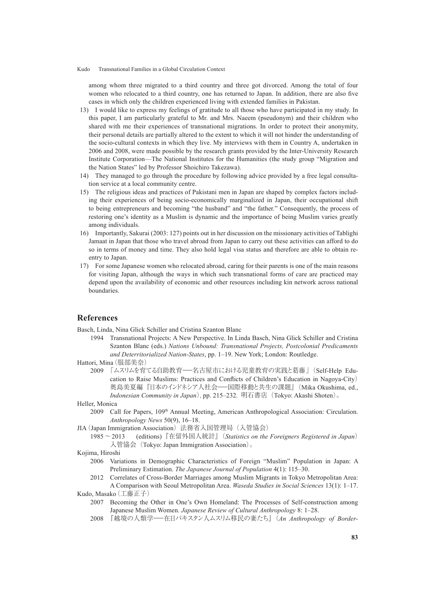among whom three migrated to a third country and three got divorced. Among the total of four women who relocated to a third country, one has returned to Japan. In addition, there are also five cases in which only the children experienced living with extended families in Pakistan.

- 13) I would like to express my feelings of gratitude to all those who have participated in my study. In this paper, I am particularly grateful to Mr. and Mrs. Naeem (pseudonym) and their children who shared with me their experiences of transnational migrations. In order to protect their anonymity, their personal details are partially altered to the extent to which it will not hinder the understanding of the socio-cultural contexts in which they live. My interviews with them in Country A, undertaken in 2006 and 2008, were made possible by the research grants provided by the Inter-University Research Institute Corporation—The National Institutes for the Humanities (the study group "Migration and the Nation States" led by Professor Shoichiro Takezawa).
- 14) They managed to go through the procedure by following advice provided by a free legal consultation service at a local community centre.
- 15) The religious ideas and practices of Pakistani men in Japan are shaped by complex factors including their experiences of being socio-economically marginalized in Japan, their occupational shift to being entrepreneurs and becoming "the husband" and "the father." Consequently, the process of restoring one's identity as a Muslim is dynamic and the importance of being Muslim varies greatly among individuals.
- 16) Importantly, Sakurai (2003: 127) points out in her discussion on the missionary activities of Tablighi Jamaat in Japan that those who travel abroad from Japan to carry out these activities can afford to do so in terms of money and time. They also hold legal visa status and therefore are able to obtain reentry to Japan.
- 17) For some Japanese women who relocated abroad, caring for their parents is one of the main reasons for visiting Japan, although the ways in which such transnational forms of care are practiced may depend upon the availability of economic and other resources including kin network across national boundaries.

#### **References**

Basch, Linda, Nina Glick Schiller and Cristina Szanton Blanc

1994 Transnational Projects: A New Perspective. In Linda Basch, Nina Glick Schiller and Cristina Szanton Blanc (eds.) *Nations Unbound: Transnational Projects, Postcolonial Predicaments and Deterritorialized Nation-States*, pp. 1–19. New York; London: Routledge.

#### Hattori, Mina(服部美奈)

<sup>2009</sup> 「ムスリムを育てる自助教育―名古屋市における児童教育の実践と葛藤」(Self-Help Education to Raise Muslims: Practices and Conflicts of Children's Education in Nagoya-City) 奥島美夏編『日本のインドネシア人社会―国際移動と共生の課題』(Mika Okushima, ed., *Indonesian Community in Japan*),pp. 215–232.明石書店(Tokyo: Akashi Shoten)。

#### Heller, Monica

- 2009 Call for Papers, 109th Annual Meeting, American Anthropological Association: Circulation. *Anthropology News* 50(9), 16–18.
- JIA(Japan Immigration Association)法務省入国管理局(入管協会)
	- 1985~2013 (editions)『在留外国人統計』(*Statistics on the Foreigners Registered in Japan*) 入管協会(Tokyo: Japan Immigration Association)。

#### Kojima, Hiroshi

- 2006 Variations in Demographic Characteristics of Foreign "Muslim" Population in Japan: A Preliminary Estimation. *The Japanese Journal of Population* 4(1): 115–30.
- 2012 Correlates of Cross-Border Marriages among Muslim Migrants in Tokyo Metropolitan Area: A Comparison with Seoul Metropolitan Area. *Waseda Studies in Social Sciences* 13(1): 1–17.

#### Kudo, Masako(工藤正子)

- 2007 Becoming the Other in One's Own Homeland: The Processes of Self-construction among Japanese Muslim Women. *Japanese Review of Cultural Anthropology* 8: 1–28.
- <sup>2008</sup> 『越境の人類学―在日パキスタン人ムスリム移民の妻たち』(*An Anthropology of Border-*